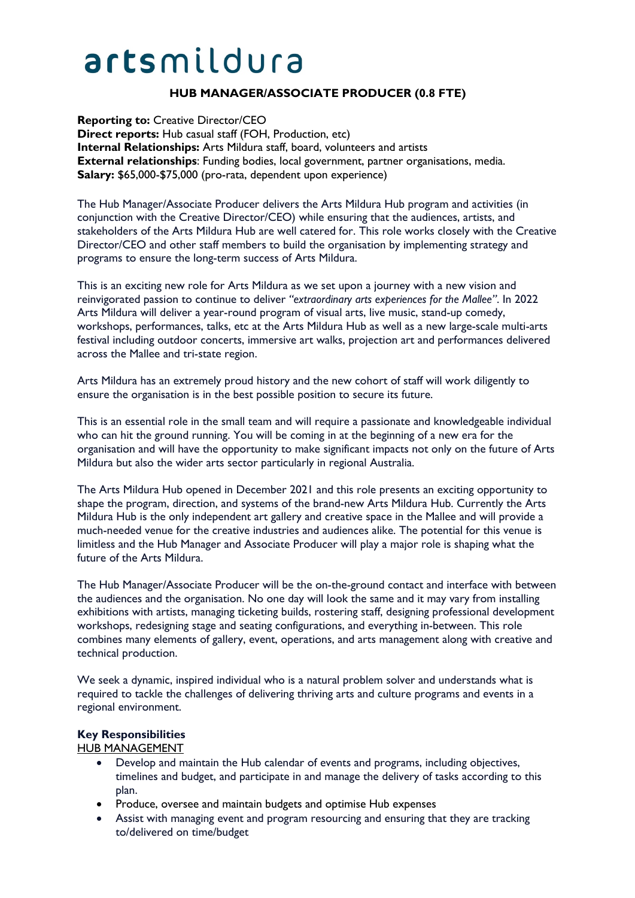# artsmildura

# **HUB MANAGER/ASSOCIATE PRODUCER (0.8 FTE)**

**Reporting to:** Creative Director/CEO **Direct reports:** Hub casual staff (FOH, Production, etc) **Internal Relationships:** Arts Mildura staff, board, volunteers and artists **External relationships**: Funding bodies, local government, partner organisations, media. **Salary:** \$65,000-\$75,000 (pro-rata, dependent upon experience)

The Hub Manager/Associate Producer delivers the Arts Mildura Hub program and activities (in conjunction with the Creative Director/CEO) while ensuring that the audiences, artists, and stakeholders of the Arts Mildura Hub are well catered for. This role works closely with the Creative Director/CEO and other staff members to build the organisation by implementing strategy and programs to ensure the long-term success of Arts Mildura.

This is an exciting new role for Arts Mildura as we set upon a journey with a new vision and reinvigorated passion to continue to deliver *"extraordinary arts experiences for the Mallee"*. In 2022 Arts Mildura will deliver a year-round program of visual arts, live music, stand-up comedy, workshops, performances, talks, etc at the Arts Mildura Hub as well as a new large-scale multi-arts festival including outdoor concerts, immersive art walks, projection art and performances delivered across the Mallee and tri-state region.

Arts Mildura has an extremely proud history and the new cohort of staff will work diligently to ensure the organisation is in the best possible position to secure its future.

This is an essential role in the small team and will require a passionate and knowledgeable individual who can hit the ground running. You will be coming in at the beginning of a new era for the organisation and will have the opportunity to make significant impacts not only on the future of Arts Mildura but also the wider arts sector particularly in regional Australia.

The Arts Mildura Hub opened in December 2021 and this role presents an exciting opportunity to shape the program, direction, and systems of the brand-new Arts Mildura Hub. Currently the Arts Mildura Hub is the only independent art gallery and creative space in the Mallee and will provide a much-needed venue for the creative industries and audiences alike. The potential for this venue is limitless and the Hub Manager and Associate Producer will play a major role is shaping what the future of the Arts Mildura.

The Hub Manager/Associate Producer will be the on-the-ground contact and interface with between the audiences and the organisation. No one day will look the same and it may vary from installing exhibitions with artists, managing ticketing builds, rostering staff, designing professional development workshops, redesigning stage and seating configurations, and everything in-between. This role combines many elements of gallery, event, operations, and arts management along with creative and technical production.

We seek a dynamic, inspired individual who is a natural problem solver and understands what is required to tackle the challenges of delivering thriving arts and culture programs and events in a regional environment.

#### **Key Responsibilities**

#### HUB MANAGEMENT

- Develop and maintain the Hub calendar of events and programs, including objectives, timelines and budget, and participate in and manage the delivery of tasks according to this plan.
- Produce, oversee and maintain budgets and optimise Hub expenses
- Assist with managing event and program resourcing and ensuring that they are tracking to/delivered on time/budget